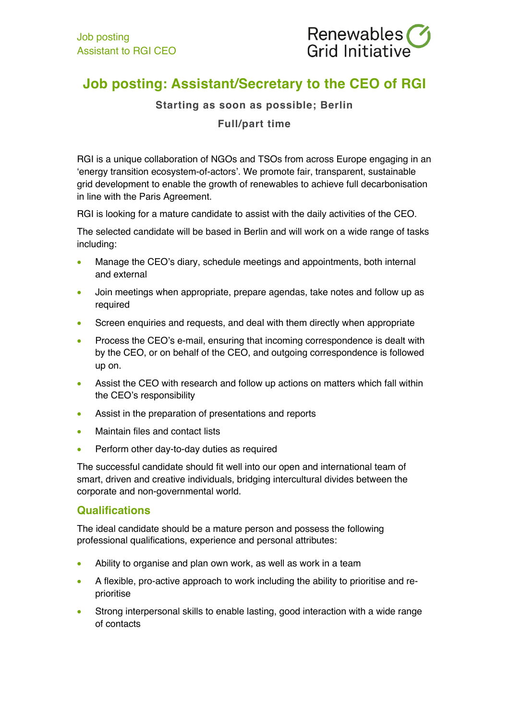

# **Job posting: Assistant/Secretary to the CEO of RGI**

### **Starting as soon as possible; Berlin**

## **Full/part time**

RGI is a unique collaboration of NGOs and TSOs from across Europe engaging in an 'energy transition ecosystem-of-actors'. We promote fair, transparent, sustainable grid development to enable the growth of renewables to achieve full decarbonisation in line with the Paris Agreement.

RGI is looking for a mature candidate to assist with the daily activities of the CEO.

The selected candidate will be based in Berlin and will work on a wide range of tasks including:

- Manage the CEO's diary, schedule meetings and appointments, both internal and external
- Join meetings when appropriate, prepare agendas, take notes and follow up as required
- Screen enquiries and requests, and deal with them directly when appropriate
- Process the CEO's e-mail, ensuring that incoming correspondence is dealt with by the CEO, or on behalf of the CEO, and outgoing correspondence is followed up on.
- Assist the CEO with research and follow up actions on matters which fall within the CEO's responsibility
- Assist in the preparation of presentations and reports
- Maintain files and contact lists
- Perform other day-to-day duties as required

The successful candidate should fit well into our open and international team of smart, driven and creative individuals, bridging intercultural divides between the corporate and non-governmental world.

### **Qualifications**

The ideal candidate should be a mature person and possess the following professional qualifications, experience and personal attributes:

- Ability to organise and plan own work, as well as work in a team
- A flexible, pro-active approach to work including the ability to prioritise and reprioritise
- Strong interpersonal skills to enable lasting, good interaction with a wide range of contacts